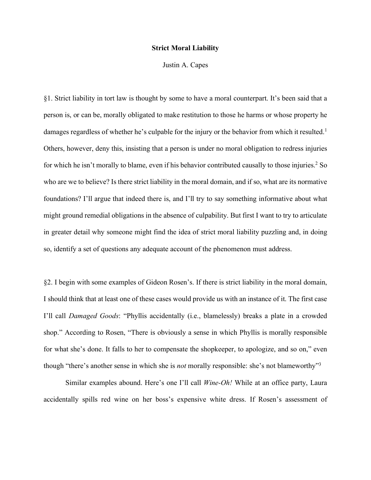## **Strict Moral Liability**

Justin A. Capes

§1. Strict liability in tort law is thought by some to have a moral counterpart. It's been said that a person is, or can be, morally obligated to make restitution to those he harms or whose property he damages regardless of whether he's culpable for the injury or the behavior from which it resulted.<sup>1</sup> Others, however, deny this, insisting that a person is under no moral obligation to redress injuries for which he isn't morally to blame, even if his behavior contributed causally to those injuries.2 So who are we to believe? Is there strict liability in the moral domain, and if so, what are its normative foundations? I'll argue that indeed there is, and I'll try to say something informative about what might ground remedial obligations in the absence of culpability. But first I want to try to articulate in greater detail why someone might find the idea of strict moral liability puzzling and, in doing so, identify a set of questions any adequate account of the phenomenon must address.

§2. I begin with some examples of Gideon Rosen's. If there is strict liability in the moral domain, I should think that at least one of these cases would provide us with an instance of it. The first case I'll call *Damaged Goods*: "Phyllis accidentally (i.e., blamelessly) breaks a plate in a crowded shop." According to Rosen, "There is obviously a sense in which Phyllis is morally responsible for what she's done. It falls to her to compensate the shopkeeper, to apologize, and so on," even though "there's another sense in which she is *not* morally responsible: she's not blameworthy"3

Similar examples abound. Here's one I'll call *Wine-Oh!* While at an office party, Laura accidentally spills red wine on her boss's expensive white dress. If Rosen's assessment of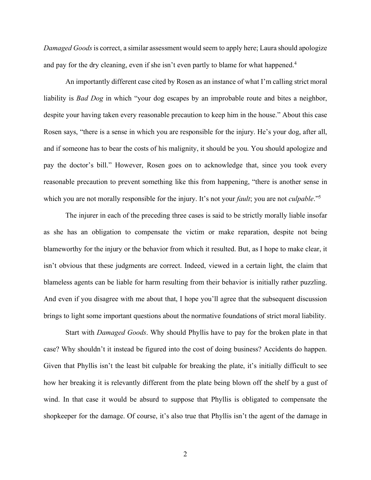*Damaged Goods*is correct, a similar assessment would seem to apply here; Laura should apologize and pay for the dry cleaning, even if she isn't even partly to blame for what happened. 4

An importantly different case cited by Rosen as an instance of what I'm calling strict moral liability is *Bad Dog* in which "your dog escapes by an improbable route and bites a neighbor, despite your having taken every reasonable precaution to keep him in the house." About this case Rosen says, "there is a sense in which you are responsible for the injury. He's your dog, after all, and if someone has to bear the costs of his malignity, it should be you. You should apologize and pay the doctor's bill." However, Rosen goes on to acknowledge that, since you took every reasonable precaution to prevent something like this from happening, "there is another sense in which you are not morally responsible for the injury. It's not your *fault*; you are not *culpable*."<sup>5</sup>

The injurer in each of the preceding three cases is said to be strictly morally liable insofar as she has an obligation to compensate the victim or make reparation, despite not being blameworthy for the injury or the behavior from which it resulted. But, as I hope to make clear, it isn't obvious that these judgments are correct. Indeed, viewed in a certain light, the claim that blameless agents can be liable for harm resulting from their behavior is initially rather puzzling. And even if you disagree with me about that, I hope you'll agree that the subsequent discussion brings to light some important questions about the normative foundations of strict moral liability.

Start with *Damaged Goods*. Why should Phyllis have to pay for the broken plate in that case? Why shouldn't it instead be figured into the cost of doing business? Accidents do happen. Given that Phyllis isn't the least bit culpable for breaking the plate, it's initially difficult to see how her breaking it is relevantly different from the plate being blown off the shelf by a gust of wind. In that case it would be absurd to suppose that Phyllis is obligated to compensate the shopkeeper for the damage. Of course, it's also true that Phyllis isn't the agent of the damage in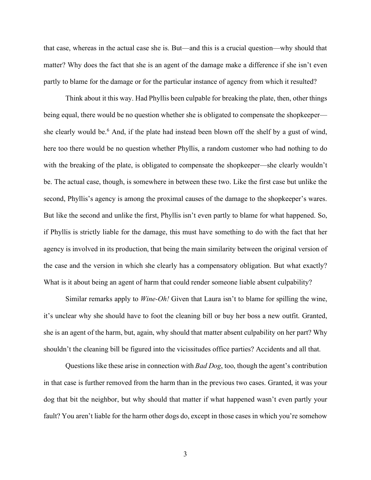that case, whereas in the actual case she is. But—and this is a crucial question—why should that matter? Why does the fact that she is an agent of the damage make a difference if she isn't even partly to blame for the damage or for the particular instance of agency from which it resulted?

Think about it this way. Had Phyllis been culpable for breaking the plate, then, other things being equal, there would be no question whether she is obligated to compensate the shopkeeper she clearly would be.<sup>6</sup> And, if the plate had instead been blown off the shelf by a gust of wind, here too there would be no question whether Phyllis, a random customer who had nothing to do with the breaking of the plate, is obligated to compensate the shopkeeper—she clearly wouldn't be. The actual case, though, is somewhere in between these two. Like the first case but unlike the second, Phyllis's agency is among the proximal causes of the damage to the shopkeeper's wares. But like the second and unlike the first, Phyllis isn't even partly to blame for what happened. So, if Phyllis is strictly liable for the damage, this must have something to do with the fact that her agency is involved in its production, that being the main similarity between the original version of the case and the version in which she clearly has a compensatory obligation. But what exactly? What is it about being an agent of harm that could render someone liable absent culpability?

Similar remarks apply to *Wine-Oh!* Given that Laura isn't to blame for spilling the wine, it's unclear why she should have to foot the cleaning bill or buy her boss a new outfit. Granted, she is an agent of the harm, but, again, why should that matter absent culpability on her part? Why shouldn't the cleaning bill be figured into the vicissitudes office parties? Accidents and all that.

Questions like these arise in connection with *Bad Dog*, too, though the agent's contribution in that case is further removed from the harm than in the previous two cases. Granted, it was your dog that bit the neighbor, but why should that matter if what happened wasn't even partly your fault? You aren't liable for the harm other dogs do, except in those cases in which you're somehow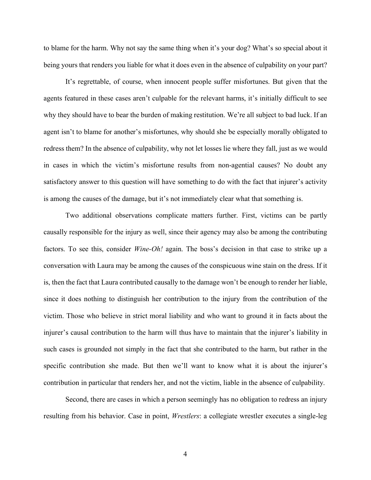to blame for the harm. Why not say the same thing when it's your dog? What's so special about it being yours that renders you liable for what it does even in the absence of culpability on your part?

It's regrettable, of course, when innocent people suffer misfortunes. But given that the agents featured in these cases aren't culpable for the relevant harms, it's initially difficult to see why they should have to bear the burden of making restitution. We're all subject to bad luck. If an agent isn't to blame for another's misfortunes, why should she be especially morally obligated to redress them? In the absence of culpability, why not let losses lie where they fall, just as we would in cases in which the victim's misfortune results from non-agential causes? No doubt any satisfactory answer to this question will have something to do with the fact that injurer's activity is among the causes of the damage, but it's not immediately clear what that something is.

Two additional observations complicate matters further. First, victims can be partly causally responsible for the injury as well, since their agency may also be among the contributing factors. To see this, consider *Wine-Oh!* again. The boss's decision in that case to strike up a conversation with Laura may be among the causes of the conspicuous wine stain on the dress. If it is, then the fact that Laura contributed causally to the damage won't be enough to render her liable, since it does nothing to distinguish her contribution to the injury from the contribution of the victim. Those who believe in strict moral liability and who want to ground it in facts about the injurer's causal contribution to the harm will thus have to maintain that the injurer's liability in such cases is grounded not simply in the fact that she contributed to the harm, but rather in the specific contribution she made. But then we'll want to know what it is about the injurer's contribution in particular that renders her, and not the victim, liable in the absence of culpability.

Second, there are cases in which a person seemingly has no obligation to redress an injury resulting from his behavior. Case in point, *Wrestlers*: a collegiate wrestler executes a single-leg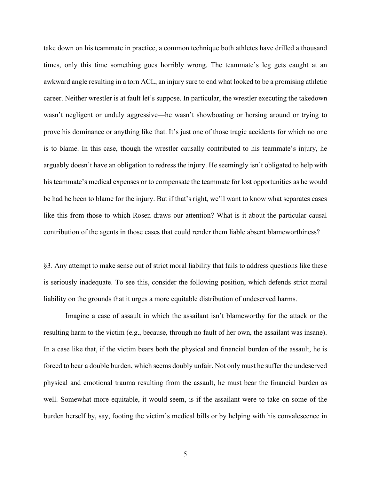take down on his teammate in practice, a common technique both athletes have drilled a thousand times, only this time something goes horribly wrong. The teammate's leg gets caught at an awkward angle resulting in a torn ACL, an injury sure to end what looked to be a promising athletic career. Neither wrestler is at fault let's suppose. In particular, the wrestler executing the takedown wasn't negligent or unduly aggressive—he wasn't showboating or horsing around or trying to prove his dominance or anything like that. It's just one of those tragic accidents for which no one is to blame. In this case, though the wrestler causally contributed to his teammate's injury, he arguably doesn't have an obligation to redress the injury. He seemingly isn't obligated to help with his teammate's medical expenses or to compensate the teammate for lost opportunities as he would be had he been to blame for the injury. But if that's right, we'll want to know what separates cases like this from those to which Rosen draws our attention? What is it about the particular causal contribution of the agents in those cases that could render them liable absent blameworthiness?

§3. Any attempt to make sense out of strict moral liability that fails to address questions like these is seriously inadequate. To see this, consider the following position, which defends strict moral liability on the grounds that it urges a more equitable distribution of undeserved harms.

Imagine a case of assault in which the assailant isn't blameworthy for the attack or the resulting harm to the victim (e.g., because, through no fault of her own, the assailant was insane). In a case like that, if the victim bears both the physical and financial burden of the assault, he is forced to bear a double burden, which seems doubly unfair. Not only must he suffer the undeserved physical and emotional trauma resulting from the assault, he must bear the financial burden as well. Somewhat more equitable, it would seem, is if the assailant were to take on some of the burden herself by, say, footing the victim's medical bills or by helping with his convalescence in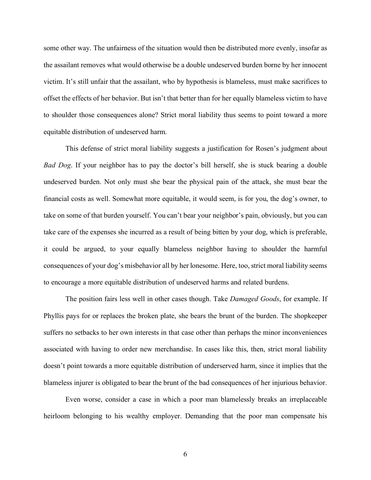some other way. The unfairness of the situation would then be distributed more evenly, insofar as the assailant removes what would otherwise be a double undeserved burden borne by her innocent victim. It's still unfair that the assailant, who by hypothesis is blameless, must make sacrifices to offset the effects of her behavior. But isn't that better than for her equally blameless victim to have to shoulder those consequences alone? Strict moral liability thus seems to point toward a more equitable distribution of undeserved harm.

This defense of strict moral liability suggests a justification for Rosen's judgment about *Bad Dog*. If your neighbor has to pay the doctor's bill herself, she is stuck bearing a double undeserved burden. Not only must she bear the physical pain of the attack, she must bear the financial costs as well. Somewhat more equitable, it would seem, is for you, the dog's owner, to take on some of that burden yourself. You can't bear your neighbor's pain, obviously, but you can take care of the expenses she incurred as a result of being bitten by your dog, which is preferable, it could be argued, to your equally blameless neighbor having to shoulder the harmful consequences of your dog's misbehavior all by her lonesome. Here, too, strict moral liability seems to encourage a more equitable distribution of undeserved harms and related burdens.

The position fairs less well in other cases though. Take *Damaged Goods*, for example. If Phyllis pays for or replaces the broken plate, she bears the brunt of the burden. The shopkeeper suffers no setbacks to her own interests in that case other than perhaps the minor inconveniences associated with having to order new merchandise. In cases like this, then, strict moral liability doesn't point towards a more equitable distribution of underserved harm, since it implies that the blameless injurer is obligated to bear the brunt of the bad consequences of her injurious behavior.

Even worse, consider a case in which a poor man blamelessly breaks an irreplaceable heirloom belonging to his wealthy employer. Demanding that the poor man compensate his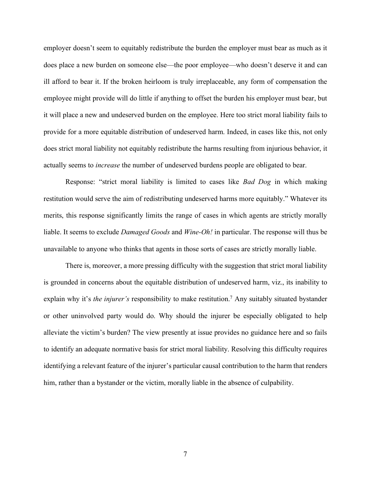employer doesn't seem to equitably redistribute the burden the employer must bear as much as it does place a new burden on someone else—the poor employee—who doesn't deserve it and can ill afford to bear it. If the broken heirloom is truly irreplaceable, any form of compensation the employee might provide will do little if anything to offset the burden his employer must bear, but it will place a new and undeserved burden on the employee. Here too strict moral liability fails to provide for a more equitable distribution of undeserved harm. Indeed, in cases like this, not only does strict moral liability not equitably redistribute the harms resulting from injurious behavior, it actually seems to *increase* the number of undeserved burdens people are obligated to bear.

Response: "strict moral liability is limited to cases like *Bad Dog* in which making restitution would serve the aim of redistributing undeserved harms more equitably." Whatever its merits, this response significantly limits the range of cases in which agents are strictly morally liable. It seems to exclude *Damaged Goods* and *Wine-Oh!* in particular. The response will thus be unavailable to anyone who thinks that agents in those sorts of cases are strictly morally liable.

There is, moreover, a more pressing difficulty with the suggestion that strict moral liability is grounded in concerns about the equitable distribution of undeserved harm, viz., its inability to explain why it's *the injurer's* responsibility to make restitution.<sup>7</sup> Any suitably situated bystander or other uninvolved party would do. Why should the injurer be especially obligated to help alleviate the victim's burden? The view presently at issue provides no guidance here and so fails to identify an adequate normative basis for strict moral liability. Resolving this difficulty requires identifying a relevant feature of the injurer's particular causal contribution to the harm that renders him, rather than a bystander or the victim, morally liable in the absence of culpability.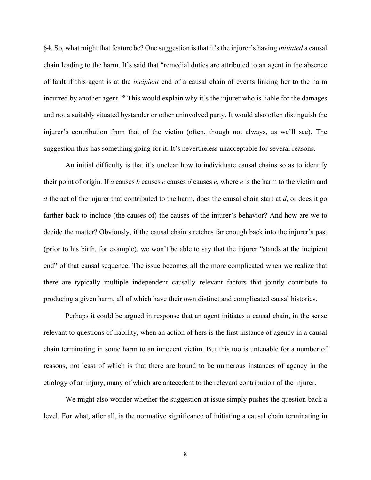§4. So, what might that feature be? One suggestion is that it's the injurer's having *initiated* a causal chain leading to the harm. It's said that "remedial duties are attributed to an agent in the absence of fault if this agent is at the *incipient* end of a causal chain of events linking her to the harm incurred by another agent."8 This would explain why it's the injurer who is liable for the damages and not a suitably situated bystander or other uninvolved party. It would also often distinguish the injurer's contribution from that of the victim (often, though not always, as we'll see). The suggestion thus has something going for it. It's nevertheless unacceptable for several reasons.

An initial difficulty is that it's unclear how to individuate causal chains so as to identify their point of origin. If *a* causes *b* causes *c* causes *d* causes *e*, where *e* is the harm to the victim and *d* the act of the injurer that contributed to the harm, does the causal chain start at *d*, or does it go farther back to include (the causes of) the causes of the injurer's behavior? And how are we to decide the matter? Obviously, if the causal chain stretches far enough back into the injurer's past (prior to his birth, for example), we won't be able to say that the injurer "stands at the incipient end" of that causal sequence. The issue becomes all the more complicated when we realize that there are typically multiple independent causally relevant factors that jointly contribute to producing a given harm, all of which have their own distinct and complicated causal histories.

Perhaps it could be argued in response that an agent initiates a causal chain, in the sense relevant to questions of liability, when an action of hers is the first instance of agency in a causal chain terminating in some harm to an innocent victim. But this too is untenable for a number of reasons, not least of which is that there are bound to be numerous instances of agency in the etiology of an injury, many of which are antecedent to the relevant contribution of the injurer.

We might also wonder whether the suggestion at issue simply pushes the question back a level. For what, after all, is the normative significance of initiating a causal chain terminating in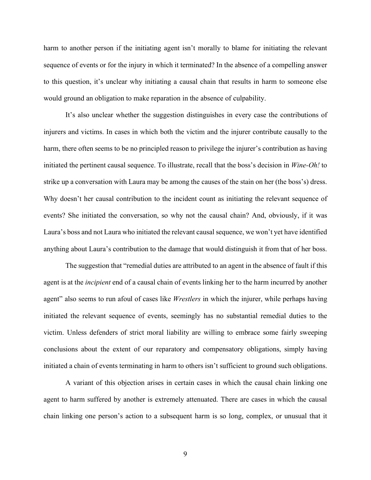harm to another person if the initiating agent isn't morally to blame for initiating the relevant sequence of events or for the injury in which it terminated? In the absence of a compelling answer to this question, it's unclear why initiating a causal chain that results in harm to someone else would ground an obligation to make reparation in the absence of culpability.

It's also unclear whether the suggestion distinguishes in every case the contributions of injurers and victims. In cases in which both the victim and the injurer contribute causally to the harm, there often seems to be no principled reason to privilege the injurer's contribution as having initiated the pertinent causal sequence. To illustrate, recall that the boss's decision in *Wine-Oh!* to strike up a conversation with Laura may be among the causes of the stain on her (the boss's) dress. Why doesn't her causal contribution to the incident count as initiating the relevant sequence of events? She initiated the conversation, so why not the causal chain? And, obviously, if it was Laura's boss and not Laura who initiated the relevant causal sequence, we won't yet have identified anything about Laura's contribution to the damage that would distinguish it from that of her boss.

The suggestion that "remedial duties are attributed to an agent in the absence of fault if this agent is at the *incipient* end of a causal chain of events linking her to the harm incurred by another agent" also seems to run afoul of cases like *Wrestlers* in which the injurer, while perhaps having initiated the relevant sequence of events, seemingly has no substantial remedial duties to the victim. Unless defenders of strict moral liability are willing to embrace some fairly sweeping conclusions about the extent of our reparatory and compensatory obligations, simply having initiated a chain of events terminating in harm to others isn't sufficient to ground such obligations.

A variant of this objection arises in certain cases in which the causal chain linking one agent to harm suffered by another is extremely attenuated. There are cases in which the causal chain linking one person's action to a subsequent harm is so long, complex, or unusual that it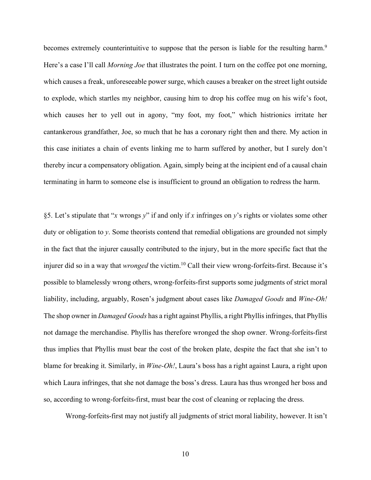becomes extremely counterintuitive to suppose that the person is liable for the resulting harm.<sup>9</sup> Here's a case I'll call *Morning Joe* that illustrates the point. I turn on the coffee pot one morning, which causes a freak, unforeseeable power surge, which causes a breaker on the street light outside to explode, which startles my neighbor, causing him to drop his coffee mug on his wife's foot, which causes her to yell out in agony, "my foot, my foot," which histrionics irritate her cantankerous grandfather, Joe, so much that he has a coronary right then and there. My action in this case initiates a chain of events linking me to harm suffered by another, but I surely don't thereby incur a compensatory obligation. Again, simply being at the incipient end of a causal chain terminating in harm to someone else is insufficient to ground an obligation to redress the harm.

§5. Let's stipulate that "*x* wrongs *y*" if and only if *x* infringes on *y*'s rights or violates some other duty or obligation to *y*. Some theorists contend that remedial obligations are grounded not simply in the fact that the injurer causally contributed to the injury, but in the more specific fact that the injurer did so in a way that *wronged* the victim. <sup>10</sup> Call their view wrong-forfeits-first. Because it's possible to blamelessly wrong others, wrong-forfeits-first supports some judgments of strict moral liability, including, arguably, Rosen's judgment about cases like *Damaged Goods* and *Wine-Oh!* The shop owner in *Damaged Goods* has a right against Phyllis, a right Phyllis infringes, that Phyllis not damage the merchandise. Phyllis has therefore wronged the shop owner. Wrong-forfeits-first thus implies that Phyllis must bear the cost of the broken plate, despite the fact that she isn't to blame for breaking it. Similarly, in *Wine-Oh!*, Laura's boss has a right against Laura, a right upon which Laura infringes, that she not damage the boss's dress. Laura has thus wronged her boss and so, according to wrong-forfeits-first, must bear the cost of cleaning or replacing the dress.

Wrong-forfeits-first may not justify all judgments of strict moral liability, however. It isn't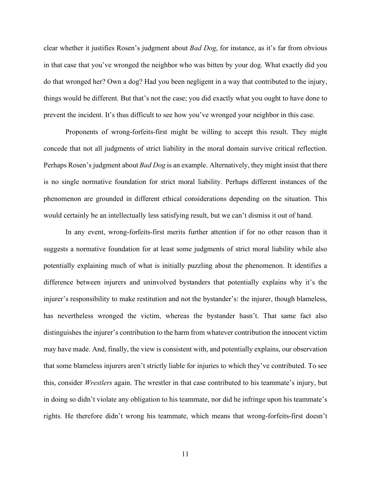clear whether it justifies Rosen's judgment about *Bad Dog*, for instance, as it's far from obvious in that case that you've wronged the neighbor who was bitten by your dog. What exactly did you do that wronged her? Own a dog? Had you been negligent in a way that contributed to the injury, things would be different. But that's not the case; you did exactly what you ought to have done to prevent the incident. It's thus difficult to see how you've wronged your neighbor in this case.

Proponents of wrong-forfeits-first might be willing to accept this result. They might concede that not all judgments of strict liability in the moral domain survive critical reflection. Perhaps Rosen's judgment about *Bad Dog* is an example. Alternatively, they might insist that there is no single normative foundation for strict moral liability. Perhaps different instances of the phenomenon are grounded in different ethical considerations depending on the situation. This would certainly be an intellectually less satisfying result, but we can't dismiss it out of hand.

In any event, wrong-forfeits-first merits further attention if for no other reason than it suggests a normative foundation for at least some judgments of strict moral liability while also potentially explaining much of what is initially puzzling about the phenomenon. It identifies a difference between injurers and uninvolved bystanders that potentially explains why it's the injurer's responsibility to make restitution and not the bystander's: the injurer, though blameless, has nevertheless wronged the victim, whereas the bystander hasn't. That same fact also distinguishes the injurer's contribution to the harm from whatever contribution the innocent victim may have made. And, finally, the view is consistent with, and potentially explains, our observation that some blameless injurers aren't strictly liable for injuries to which they've contributed. To see this, consider *Wrestlers* again. The wrestler in that case contributed to his teammate's injury, but in doing so didn't violate any obligation to his teammate, nor did he infringe upon his teammate's rights. He therefore didn't wrong his teammate, which means that wrong-forfeits-first doesn't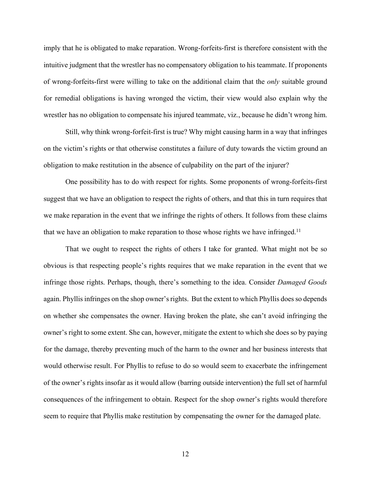imply that he is obligated to make reparation. Wrong-forfeits-first is therefore consistent with the intuitive judgment that the wrestler has no compensatory obligation to his teammate. If proponents of wrong-forfeits-first were willing to take on the additional claim that the *only* suitable ground for remedial obligations is having wronged the victim, their view would also explain why the wrestler has no obligation to compensate his injured teammate, viz., because he didn't wrong him.

Still, why think wrong-forfeit-first is true? Why might causing harm in a way that infringes on the victim's rights or that otherwise constitutes a failure of duty towards the victim ground an obligation to make restitution in the absence of culpability on the part of the injurer?

One possibility has to do with respect for rights. Some proponents of wrong-forfeits-first suggest that we have an obligation to respect the rights of others, and that this in turn requires that we make reparation in the event that we infringe the rights of others. It follows from these claims that we have an obligation to make reparation to those whose rights we have infringed.<sup>11</sup>

That we ought to respect the rights of others I take for granted. What might not be so obvious is that respecting people's rights requires that we make reparation in the event that we infringe those rights. Perhaps, though, there's something to the idea. Consider *Damaged Goods* again. Phyllis infringes on the shop owner's rights. But the extent to which Phyllis does so depends on whether she compensates the owner. Having broken the plate, she can't avoid infringing the owner's right to some extent. She can, however, mitigate the extent to which she does so by paying for the damage, thereby preventing much of the harm to the owner and her business interests that would otherwise result. For Phyllis to refuse to do so would seem to exacerbate the infringement of the owner's rights insofar as it would allow (barring outside intervention) the full set of harmful consequences of the infringement to obtain. Respect for the shop owner's rights would therefore seem to require that Phyllis make restitution by compensating the owner for the damaged plate.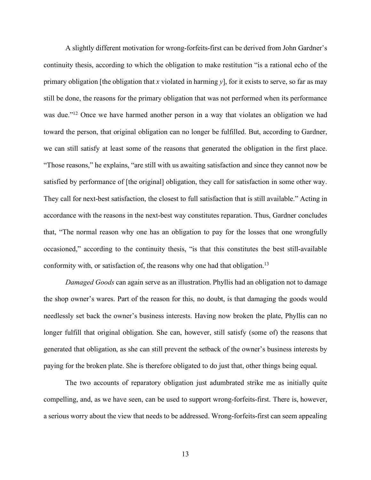A slightly different motivation for wrong-forfeits-first can be derived from John Gardner's continuity thesis, according to which the obligation to make restitution "is a rational echo of the primary obligation [the obligation that *x* violated in harming  $y$ ], for it exists to serve, so far as may still be done, the reasons for the primary obligation that was not performed when its performance was due."<sup>12</sup> Once we have harmed another person in a way that violates an obligation we had toward the person, that original obligation can no longer be fulfilled. But, according to Gardner, we can still satisfy at least some of the reasons that generated the obligation in the first place. "Those reasons," he explains, "are still with us awaiting satisfaction and since they cannot now be satisfied by performance of [the original] obligation, they call for satisfaction in some other way. They call for next-best satisfaction, the closest to full satisfaction that is still available." Acting in accordance with the reasons in the next-best way constitutes reparation. Thus, Gardner concludes that, "The normal reason why one has an obligation to pay for the losses that one wrongfully occasioned," according to the continuity thesis, "is that this constitutes the best still-available conformity with, or satisfaction of, the reasons why one had that obligation.<sup>13</sup>

*Damaged Goods* can again serve as an illustration. Phyllis had an obligation not to damage the shop owner's wares. Part of the reason for this, no doubt, is that damaging the goods would needlessly set back the owner's business interests. Having now broken the plate, Phyllis can no longer fulfill that original obligation. She can, however, still satisfy (some of) the reasons that generated that obligation, as she can still prevent the setback of the owner's business interests by paying for the broken plate. She is therefore obligated to do just that, other things being equal.

The two accounts of reparatory obligation just adumbrated strike me as initially quite compelling, and, as we have seen, can be used to support wrong-forfeits-first. There is, however, a serious worry about the view that needs to be addressed. Wrong-forfeits-first can seem appealing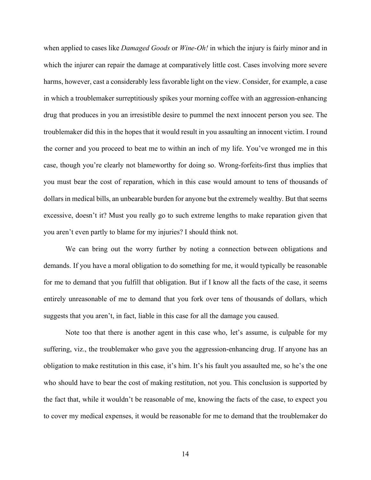when applied to cases like *Damaged Goods* or *Wine-Oh!* in which the injury is fairly minor and in which the injurer can repair the damage at comparatively little cost. Cases involving more severe harms, however, cast a considerably less favorable light on the view. Consider, for example, a case in which a troublemaker surreptitiously spikes your morning coffee with an aggression-enhancing drug that produces in you an irresistible desire to pummel the next innocent person you see. The troublemaker did this in the hopes that it would result in you assaulting an innocent victim. I round the corner and you proceed to beat me to within an inch of my life. You've wronged me in this case, though you're clearly not blameworthy for doing so. Wrong-forfeits-first thus implies that you must bear the cost of reparation, which in this case would amount to tens of thousands of dollars in medical bills, an unbearable burden for anyone but the extremely wealthy. But that seems excessive, doesn't it? Must you really go to such extreme lengths to make reparation given that you aren't even partly to blame for my injuries? I should think not.

We can bring out the worry further by noting a connection between obligations and demands. If you have a moral obligation to do something for me, it would typically be reasonable for me to demand that you fulfill that obligation. But if I know all the facts of the case, it seems entirely unreasonable of me to demand that you fork over tens of thousands of dollars, which suggests that you aren't, in fact, liable in this case for all the damage you caused.

Note too that there is another agent in this case who, let's assume, is culpable for my suffering, viz., the troublemaker who gave you the aggression-enhancing drug. If anyone has an obligation to make restitution in this case, it's him. It's his fault you assaulted me, so he's the one who should have to bear the cost of making restitution, not you. This conclusion is supported by the fact that, while it wouldn't be reasonable of me, knowing the facts of the case, to expect you to cover my medical expenses, it would be reasonable for me to demand that the troublemaker do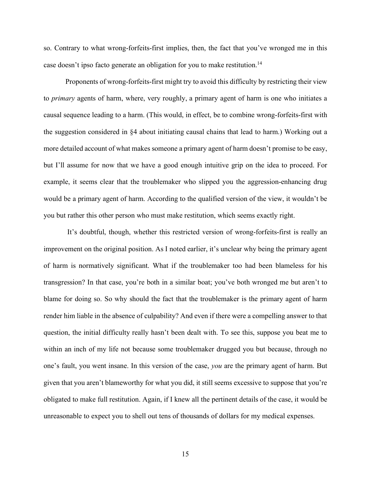so. Contrary to what wrong-forfeits-first implies, then, the fact that you've wronged me in this case doesn't ipso facto generate an obligation for you to make restitution.<sup>14</sup>

Proponents of wrong-forfeits-first might try to avoid this difficulty by restricting their view to *primary* agents of harm, where, very roughly, a primary agent of harm is one who initiates a causal sequence leading to a harm. (This would, in effect, be to combine wrong-forfeits-first with the suggestion considered in §4 about initiating causal chains that lead to harm.) Working out a more detailed account of what makes someone a primary agent of harm doesn't promise to be easy, but I'll assume for now that we have a good enough intuitive grip on the idea to proceed. For example, it seems clear that the troublemaker who slipped you the aggression-enhancing drug would be a primary agent of harm. According to the qualified version of the view, it wouldn't be you but rather this other person who must make restitution, which seems exactly right.

It's doubtful, though, whether this restricted version of wrong-forfeits-first is really an improvement on the original position. As I noted earlier, it's unclear why being the primary agent of harm is normatively significant. What if the troublemaker too had been blameless for his transgression? In that case, you're both in a similar boat; you've both wronged me but aren't to blame for doing so. So why should the fact that the troublemaker is the primary agent of harm render him liable in the absence of culpability? And even if there were a compelling answer to that question, the initial difficulty really hasn't been dealt with. To see this, suppose you beat me to within an inch of my life not because some troublemaker drugged you but because, through no one's fault, you went insane. In this version of the case, *you* are the primary agent of harm. But given that you aren't blameworthy for what you did, it still seems excessive to suppose that you're obligated to make full restitution. Again, if I knew all the pertinent details of the case, it would be unreasonable to expect you to shell out tens of thousands of dollars for my medical expenses.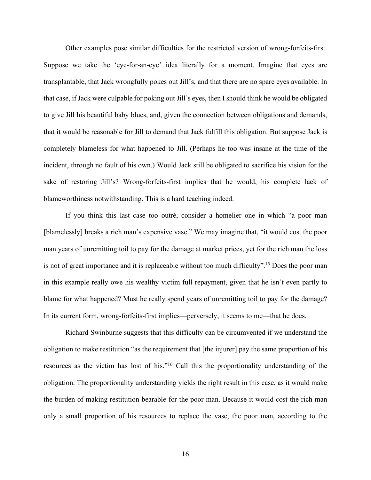Other examples pose similar difficulties for the restricted version of wrong-forfeits-first. Suppose we take the 'eye-for-an-eye' idea literally for a moment. Imagine that eyes are transplantable, that Jack wrongfully pokes out Jill's, and that there are no spare eyes available. In that case, if Jack were culpable for poking out Jill's eyes, then I should think he would be obligated to give Jill his beautiful baby blues, and, given the connection between obligations and demands, that it would be reasonable for Jill to demand that Jack fulfill this obligation. But suppose Jack is completely blameless for what happened to Jill. (Perhaps he too was insane at the time of the incident, through no fault of his own.) Would Jack still be obligated to sacrifice his vision for the sake of restoring Jill's? Wrong-forfeits-first implies that he would, his complete lack of blameworthiness notwithstanding. This is a hard teaching indeed.

If you think this last case too outré, consider a homelier one in which "a poor man [blamelessly] breaks a rich man's expensive vase." We may imagine that, "it would cost the poor man years of unremitting toil to pay for the damage at market prices, yet for the rich man the loss is not of great importance and it is replaceable without too much difficulty".15 Does the poor man in this example really owe his wealthy victim full repayment, given that he isn't even partly to blame for what happened? Must he really spend years of unremitting toil to pay for the damage? In its current form, wrong-forfeits-first implies—perversely, it seems to me—that he does.

Richard Swinburne suggests that this difficulty can be circumvented if we understand the obligation to make restitution "as the requirement that [the injurer] pay the same proportion of his resources as the victim has lost of his."16 Call this the proportionality understanding of the obligation. The proportionality understanding yields the right result in this case, as it would make the burden of making restitution bearable for the poor man. Because it would cost the rich man only a small proportion of his resources to replace the vase, the poor man, according to the

16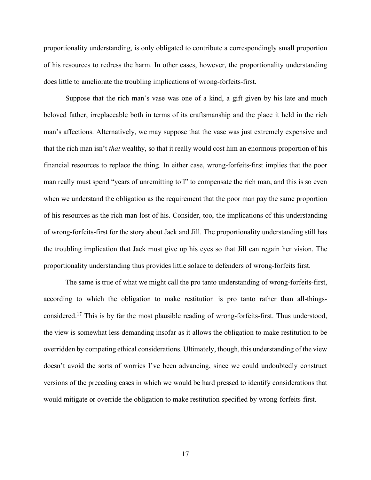proportionality understanding, is only obligated to contribute a correspondingly small proportion of his resources to redress the harm. In other cases, however, the proportionality understanding does little to ameliorate the troubling implications of wrong-forfeits-first.

Suppose that the rich man's vase was one of a kind, a gift given by his late and much beloved father, irreplaceable both in terms of its craftsmanship and the place it held in the rich man's affections. Alternatively, we may suppose that the vase was just extremely expensive and that the rich man isn't *that* wealthy, so that it really would cost him an enormous proportion of his financial resources to replace the thing. In either case, wrong-forfeits-first implies that the poor man really must spend "years of unremitting toil" to compensate the rich man, and this is so even when we understand the obligation as the requirement that the poor man pay the same proportion of his resources as the rich man lost of his. Consider, too, the implications of this understanding of wrong-forfeits-first for the story about Jack and Jill. The proportionality understanding still has the troubling implication that Jack must give up his eyes so that Jill can regain her vision. The proportionality understanding thus provides little solace to defenders of wrong-forfeits first.

The same is true of what we might call the pro tanto understanding of wrong-forfeits-first, according to which the obligation to make restitution is pro tanto rather than all-thingsconsidered.17 This is by far the most plausible reading of wrong-forfeits-first. Thus understood, the view is somewhat less demanding insofar as it allows the obligation to make restitution to be overridden by competing ethical considerations. Ultimately, though, this understanding of the view doesn't avoid the sorts of worries I've been advancing, since we could undoubtedly construct versions of the preceding cases in which we would be hard pressed to identify considerations that would mitigate or override the obligation to make restitution specified by wrong-forfeits-first.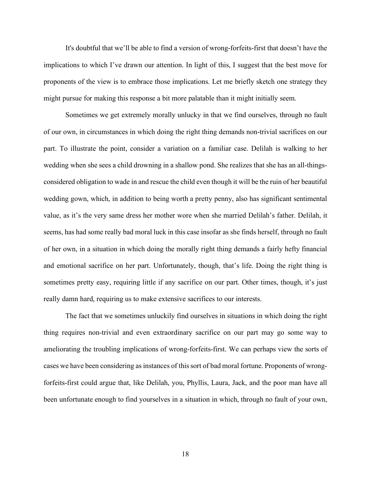It's doubtful that we'll be able to find a version of wrong-forfeits-first that doesn't have the implications to which I've drawn our attention. In light of this, I suggest that the best move for proponents of the view is to embrace those implications. Let me briefly sketch one strategy they might pursue for making this response a bit more palatable than it might initially seem.

Sometimes we get extremely morally unlucky in that we find ourselves, through no fault of our own, in circumstances in which doing the right thing demands non-trivial sacrifices on our part. To illustrate the point, consider a variation on a familiar case. Delilah is walking to her wedding when she sees a child drowning in a shallow pond. She realizes that she has an all-thingsconsidered obligation to wade in and rescue the child even though it will be the ruin of her beautiful wedding gown, which, in addition to being worth a pretty penny, also has significant sentimental value, as it's the very same dress her mother wore when she married Delilah's father. Delilah, it seems, has had some really bad moral luck in this case insofar as she finds herself, through no fault of her own, in a situation in which doing the morally right thing demands a fairly hefty financial and emotional sacrifice on her part. Unfortunately, though, that's life. Doing the right thing is sometimes pretty easy, requiring little if any sacrifice on our part. Other times, though, it's just really damn hard, requiring us to make extensive sacrifices to our interests.

The fact that we sometimes unluckily find ourselves in situations in which doing the right thing requires non-trivial and even extraordinary sacrifice on our part may go some way to ameliorating the troubling implications of wrong-forfeits-first. We can perhaps view the sorts of cases we have been considering as instances of this sort of bad moral fortune. Proponents of wrongforfeits-first could argue that, like Delilah, you, Phyllis, Laura, Jack, and the poor man have all been unfortunate enough to find yourselves in a situation in which, through no fault of your own,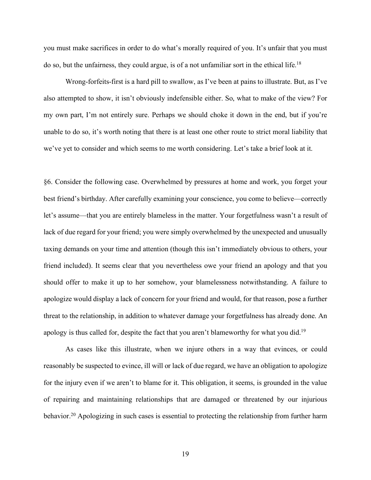you must make sacrifices in order to do what's morally required of you. It's unfair that you must do so, but the unfairness, they could argue, is of a not unfamiliar sort in the ethical life. 18

Wrong-forfeits-first is a hard pill to swallow, as I've been at pains to illustrate. But, as I've also attempted to show, it isn't obviously indefensible either. So, what to make of the view? For my own part, I'm not entirely sure. Perhaps we should choke it down in the end, but if you're unable to do so, it's worth noting that there is at least one other route to strict moral liability that we've yet to consider and which seems to me worth considering. Let's take a brief look at it.

§6. Consider the following case. Overwhelmed by pressures at home and work, you forget your best friend's birthday. After carefully examining your conscience, you come to believe—correctly let's assume—that you are entirely blameless in the matter. Your forgetfulness wasn't a result of lack of due regard for your friend; you were simply overwhelmed by the unexpected and unusually taxing demands on your time and attention (though this isn't immediately obvious to others, your friend included). It seems clear that you nevertheless owe your friend an apology and that you should offer to make it up to her somehow, your blamelessness notwithstanding. A failure to apologize would display a lack of concern for your friend and would, for that reason, pose a further threat to the relationship, in addition to whatever damage your forgetfulness has already done. An apology is thus called for, despite the fact that you aren't blameworthy for what you did.<sup>19</sup>

As cases like this illustrate, when we injure others in a way that evinces, or could reasonably be suspected to evince, ill will or lack of due regard, we have an obligation to apologize for the injury even if we aren't to blame for it. This obligation, it seems, is grounded in the value of repairing and maintaining relationships that are damaged or threatened by our injurious behavior.<sup>20</sup> Apologizing in such cases is essential to protecting the relationship from further harm

19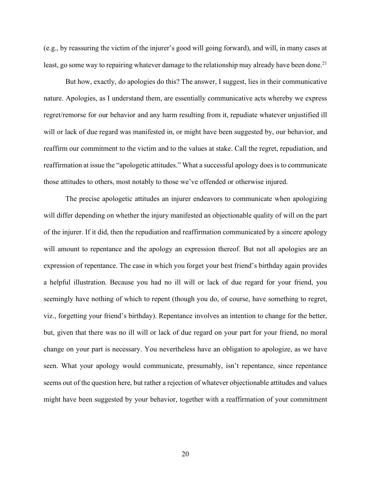(e.g., by reassuring the victim of the injurer's good will going forward), and will, in many cases at least, go some way to repairing whatever damage to the relationship may already have been done.<sup>21</sup>

But how, exactly, do apologies do this? The answer, I suggest, lies in their communicative nature. Apologies, as I understand them, are essentially communicative acts whereby we express regret/remorse for our behavior and any harm resulting from it, repudiate whatever unjustified ill will or lack of due regard was manifested in, or might have been suggested by, our behavior, and reaffirm our commitment to the victim and to the values at stake. Call the regret, repudiation, and reaffirmation at issue the "apologetic attitudes." What a successful apology does is to communicate those attitudes to others, most notably to those we've offended or otherwise injured.

The precise apologetic attitudes an injurer endeavors to communicate when apologizing will differ depending on whether the injury manifested an objectionable quality of will on the part of the injurer. If it did, then the repudiation and reaffirmation communicated by a sincere apology will amount to repentance and the apology an expression thereof. But not all apologies are an expression of repentance. The case in which you forget your best friend's birthday again provides a helpful illustration. Because you had no ill will or lack of due regard for your friend, you seemingly have nothing of which to repent (though you do, of course, have something to regret, viz., forgetting your friend's birthday). Repentance involves an intention to change for the better, but, given that there was no ill will or lack of due regard on your part for your friend, no moral change on your part is necessary. You nevertheless have an obligation to apologize, as we have seen. What your apology would communicate, presumably, isn't repentance, since repentance seems out of the question here, but rather a rejection of whatever objectionable attitudes and values might have been suggested by your behavior, together with a reaffirmation of your commitment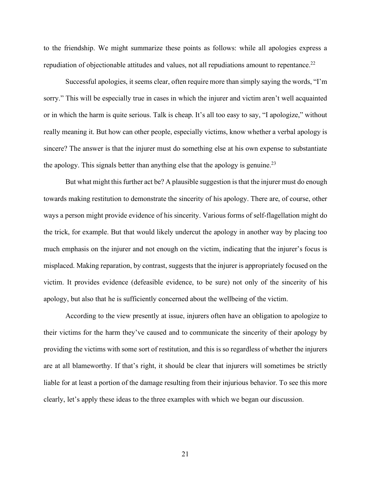to the friendship. We might summarize these points as follows: while all apologies express a repudiation of objectionable attitudes and values, not all repudiations amount to repentance.<sup>22</sup>

Successful apologies, it seems clear, often require more than simply saying the words, "I'm sorry." This will be especially true in cases in which the injurer and victim aren't well acquainted or in which the harm is quite serious. Talk is cheap. It's all too easy to say, "I apologize," without really meaning it. But how can other people, especially victims, know whether a verbal apology is sincere? The answer is that the injurer must do something else at his own expense to substantiate the apology. This signals better than anything else that the apology is genuine.<sup>23</sup>

But what might this further act be? A plausible suggestion is that the injurer must do enough towards making restitution to demonstrate the sincerity of his apology. There are, of course, other ways a person might provide evidence of his sincerity. Various forms of self-flagellation might do the trick, for example. But that would likely undercut the apology in another way by placing too much emphasis on the injurer and not enough on the victim, indicating that the injurer's focus is misplaced. Making reparation, by contrast, suggests that the injurer is appropriately focused on the victim. It provides evidence (defeasible evidence, to be sure) not only of the sincerity of his apology, but also that he is sufficiently concerned about the wellbeing of the victim.

According to the view presently at issue, injurers often have an obligation to apologize to their victims for the harm they've caused and to communicate the sincerity of their apology by providing the victims with some sort of restitution, and this is so regardless of whether the injurers are at all blameworthy. If that's right, it should be clear that injurers will sometimes be strictly liable for at least a portion of the damage resulting from their injurious behavior. To see this more clearly, let's apply these ideas to the three examples with which we began our discussion.

21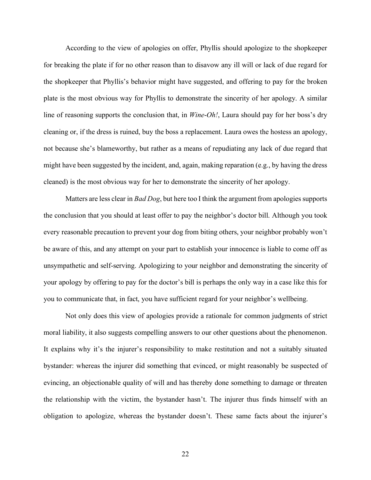According to the view of apologies on offer, Phyllis should apologize to the shopkeeper for breaking the plate if for no other reason than to disavow any ill will or lack of due regard for the shopkeeper that Phyllis's behavior might have suggested, and offering to pay for the broken plate is the most obvious way for Phyllis to demonstrate the sincerity of her apology. A similar line of reasoning supports the conclusion that, in *Wine*-*Oh!*, Laura should pay for her boss's dry cleaning or, if the dress is ruined, buy the boss a replacement. Laura owes the hostess an apology, not because she's blameworthy, but rather as a means of repudiating any lack of due regard that might have been suggested by the incident, and, again, making reparation (e.g., by having the dress cleaned) is the most obvious way for her to demonstrate the sincerity of her apology.

Matters are less clear in *Bad Dog*, but here too I think the argument from apologies supports the conclusion that you should at least offer to pay the neighbor's doctor bill. Although you took every reasonable precaution to prevent your dog from biting others, your neighbor probably won't be aware of this, and any attempt on your part to establish your innocence is liable to come off as unsympathetic and self-serving. Apologizing to your neighbor and demonstrating the sincerity of your apology by offering to pay for the doctor's bill is perhaps the only way in a case like this for you to communicate that, in fact, you have sufficient regard for your neighbor's wellbeing.

Not only does this view of apologies provide a rationale for common judgments of strict moral liability, it also suggests compelling answers to our other questions about the phenomenon. It explains why it's the injurer's responsibility to make restitution and not a suitably situated bystander: whereas the injurer did something that evinced, or might reasonably be suspected of evincing, an objectionable quality of will and has thereby done something to damage or threaten the relationship with the victim, the bystander hasn't. The injurer thus finds himself with an obligation to apologize, whereas the bystander doesn't. These same facts about the injurer's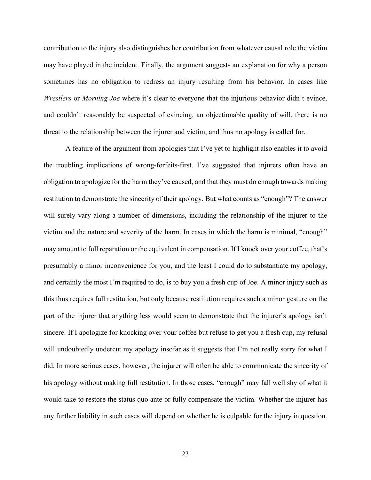contribution to the injury also distinguishes her contribution from whatever causal role the victim may have played in the incident. Finally, the argument suggests an explanation for why a person sometimes has no obligation to redress an injury resulting from his behavior. In cases like *Wrestlers* or *Morning Joe* where it's clear to everyone that the injurious behavior didn't evince, and couldn't reasonably be suspected of evincing, an objectionable quality of will, there is no threat to the relationship between the injurer and victim, and thus no apology is called for.

A feature of the argument from apologies that I've yet to highlight also enables it to avoid the troubling implications of wrong-forfeits-first. I've suggested that injurers often have an obligation to apologize for the harm they've caused, and that they must do enough towards making restitution to demonstrate the sincerity of their apology. But what counts as "enough"? The answer will surely vary along a number of dimensions, including the relationship of the injurer to the victim and the nature and severity of the harm. In cases in which the harm is minimal, "enough" may amount to full reparation or the equivalent in compensation. If I knock over your coffee, that's presumably a minor inconvenience for you, and the least I could do to substantiate my apology, and certainly the most I'm required to do, is to buy you a fresh cup of Joe. A minor injury such as this thus requires full restitution, but only because restitution requires such a minor gesture on the part of the injurer that anything less would seem to demonstrate that the injurer's apology isn't sincere. If I apologize for knocking over your coffee but refuse to get you a fresh cup, my refusal will undoubtedly undercut my apology insofar as it suggests that I'm not really sorry for what I did. In more serious cases, however, the injurer will often be able to communicate the sincerity of his apology without making full restitution. In those cases, "enough" may fall well shy of what it would take to restore the status quo ante or fully compensate the victim. Whether the injurer has any further liability in such cases will depend on whether he is culpable for the injury in question.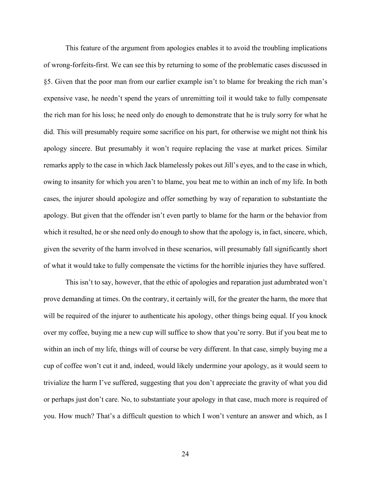This feature of the argument from apologies enables it to avoid the troubling implications of wrong-forfeits-first. We can see this by returning to some of the problematic cases discussed in §5. Given that the poor man from our earlier example isn't to blame for breaking the rich man's expensive vase, he needn't spend the years of unremitting toil it would take to fully compensate the rich man for his loss; he need only do enough to demonstrate that he is truly sorry for what he did. This will presumably require some sacrifice on his part, for otherwise we might not think his apology sincere. But presumably it won't require replacing the vase at market prices. Similar remarks apply to the case in which Jack blamelessly pokes out Jill's eyes, and to the case in which, owing to insanity for which you aren't to blame, you beat me to within an inch of my life. In both cases, the injurer should apologize and offer something by way of reparation to substantiate the apology. But given that the offender isn't even partly to blame for the harm or the behavior from which it resulted, he or she need only do enough to show that the apology is, in fact, sincere, which, given the severity of the harm involved in these scenarios, will presumably fall significantly short of what it would take to fully compensate the victims for the horrible injuries they have suffered.

This isn't to say, however, that the ethic of apologies and reparation just adumbrated won't prove demanding at times. On the contrary, it certainly will, for the greater the harm, the more that will be required of the injurer to authenticate his apology, other things being equal. If you knock over my coffee, buying me a new cup will suffice to show that you're sorry. But if you beat me to within an inch of my life, things will of course be very different. In that case, simply buying me a cup of coffee won't cut it and, indeed, would likely undermine your apology, as it would seem to trivialize the harm I've suffered, suggesting that you don't appreciate the gravity of what you did or perhaps just don't care. No, to substantiate your apology in that case, much more is required of you. How much? That's a difficult question to which I won't venture an answer and which, as I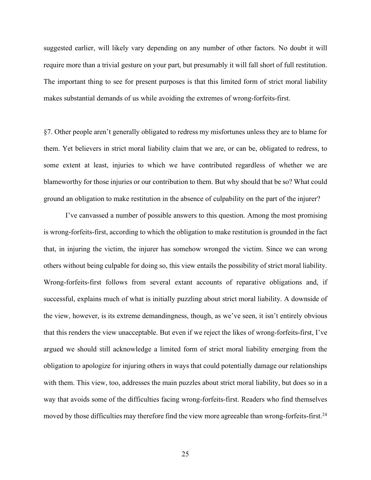suggested earlier, will likely vary depending on any number of other factors. No doubt it will require more than a trivial gesture on your part, but presumably it will fall short of full restitution. The important thing to see for present purposes is that this limited form of strict moral liability makes substantial demands of us while avoiding the extremes of wrong-forfeits-first.

§7. Other people aren't generally obligated to redress my misfortunes unless they are to blame for them. Yet believers in strict moral liability claim that we are, or can be, obligated to redress, to some extent at least, injuries to which we have contributed regardless of whether we are blameworthy for those injuries or our contribution to them. But why should that be so? What could ground an obligation to make restitution in the absence of culpability on the part of the injurer?

I've canvassed a number of possible answers to this question. Among the most promising is wrong-forfeits-first, according to which the obligation to make restitution is grounded in the fact that, in injuring the victim, the injurer has somehow wronged the victim. Since we can wrong others without being culpable for doing so, this view entails the possibility of strict moral liability. Wrong-forfeits-first follows from several extant accounts of reparative obligations and, if successful, explains much of what is initially puzzling about strict moral liability. A downside of the view, however, is its extreme demandingness, though, as we've seen, it isn't entirely obvious that this renders the view unacceptable. But even if we reject the likes of wrong-forfeits-first, I've argued we should still acknowledge a limited form of strict moral liability emerging from the obligation to apologize for injuring others in ways that could potentially damage our relationships with them. This view, too, addresses the main puzzles about strict moral liability, but does so in a way that avoids some of the difficulties facing wrong-forfeits-first. Readers who find themselves moved by those difficulties may therefore find the view more agreeable than wrong-forfeits-first.<sup>24</sup>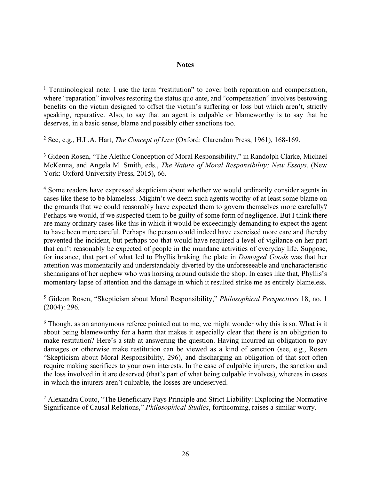## **Notes**

<sup>2</sup> See, e.g., H.L.A. Hart, *The Concept of Law* (Oxford: Clarendon Press, 1961), 168-169.

 $\overline{a}$ 

<sup>3</sup> Gideon Rosen, "The Alethic Conception of Moral Responsibility," in Randolph Clarke, Michael McKenna, and Angela M. Smith, eds., *The Nature of Moral Responsibility: New Essays*, (New York: Oxford University Press, 2015), 66.

<sup>4</sup> Some readers have expressed skepticism about whether we would ordinarily consider agents in cases like these to be blameless. Mightn't we deem such agents worthy of at least some blame on the grounds that we could reasonably have expected them to govern themselves more carefully? Perhaps we would, if we suspected them to be guilty of some form of negligence. But I think there are many ordinary cases like this in which it would be exceedingly demanding to expect the agent to have been more careful. Perhaps the person could indeed have exercised more care and thereby prevented the incident, but perhaps too that would have required a level of vigilance on her part that can't reasonably be expected of people in the mundane activities of everyday life. Suppose, for instance, that part of what led to Phyllis braking the plate in *Damaged Goods* was that her attention was momentarily and understandably diverted by the unforeseeable and uncharacteristic shenanigans of her nephew who was horsing around outside the shop. In cases like that, Phyllis's momentary lapse of attention and the damage in which it resulted strike me as entirely blameless.

<sup>5</sup> Gideon Rosen, "Skepticism about Moral Responsibility," *Philosophical Perspectives* 18, no. 1 (2004): 296.

<sup>6</sup> Though, as an anonymous referee pointed out to me, we might wonder why this is so. What is it about being blameworthy for a harm that makes it especially clear that there is an obligation to make restitution? Here's a stab at answering the question. Having incurred an obligation to pay damages or otherwise make restitution can be viewed as a kind of sanction (see, e.g., Rosen "Skepticism about Moral Responsibility, 296), and discharging an obligation of that sort often require making sacrifices to your own interests. In the case of culpable injurers, the sanction and the loss involved in it are deserved (that's part of what being culpable involves), whereas in cases in which the injurers aren't culpable, the losses are undeserved.

<sup>7</sup> Alexandra Couto, "The Beneficiary Pays Principle and Strict Liability: Exploring the Normative Significance of Causal Relations," *Philosophical Studies*, forthcoming, raises a similar worry.

<sup>&</sup>lt;sup>1</sup> Terminological note: I use the term "restitution" to cover both reparation and compensation, where "reparation" involves restoring the status quo ante, and "compensation" involves bestowing benefits on the victim designed to offset the victim's suffering or loss but which aren't, strictly speaking, reparative. Also, to say that an agent is culpable or blameworthy is to say that he deserves, in a basic sense, blame and possibly other sanctions too.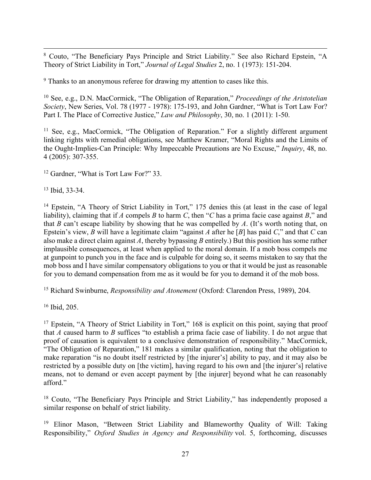8 Couto, "The Beneficiary Pays Principle and Strict Liability." See also Richard Epstein, "A Theory of Strict Liability in Tort," *Journal of Legal Studies* 2, no. 1 (1973): 151-204.

<sup>9</sup> Thanks to an anonymous referee for drawing my attention to cases like this.

<sup>10</sup> See, e.g., D.N. MacCormick, "The Obligation of Reparation," *Proceedings of the Aristotelian Society*, New Series, Vol. 78 (1977 - 1978): 175-193, and John Gardner, "What is Tort Law For? Part I. The Place of Corrective Justice," *Law and Philosophy*, 30, no. 1 (2011): 1-50.

<sup>11</sup> See, e.g., MacCormick, "The Obligation of Reparation." For a slightly different argument linking rights with remedial obligations, see Matthew Kramer, "Moral Rights and the Limits of the Ought-Implies-Can Principle: Why Impeccable Precautions are No Excuse," *Inquiry*, 48, no. 4 (2005): 307-355.

<sup>12</sup> Gardner, "What is Tort Law For?" 33.

<sup>13</sup> Ibid, 33-34.

<sup>14</sup> Epstein, "A Theory of Strict Liability in Tort," 175 denies this (at least in the case of legal liability), claiming that if *A* compels *B* to harm *C*, then "*C* has a prima facie case against *B*," and that *B* can't escape liability by showing that he was compelled by *A*. (It's worth noting that, on Epstein's view, *B* will have a legitimate claim "against *A* after he [*B*] has paid *C*," and that *C* can also make a direct claim against *A*, thereby bypassing *B* entirely.) But this position has some rather implausible consequences, at least when applied to the moral domain. If a mob boss compels me at gunpoint to punch you in the face and is culpable for doing so, it seems mistaken to say that the mob boss and I have similar compensatory obligations to you or that it would be just as reasonable for you to demand compensation from me as it would be for you to demand it of the mob boss.

<sup>15</sup> Richard Swinburne, *Responsibility and Atonement* (Oxford: Clarendon Press, 1989), 204.

<sup>16</sup> Ibid, 205.

<sup>17</sup> Epstein, "A Theory of Strict Liability in Tort," 168 is explicit on this point, saying that proof that *A* caused harm to *B* suffices "to establish a prima facie case of liability. I do not argue that proof of causation is equivalent to a conclusive demonstration of responsibility." MacCormick, "The Obligation of Reparation," 181 makes a similar qualification, noting that the obligation to make reparation "is no doubt itself restricted by [the injurer's] ability to pay, and it may also be restricted by a possible duty on [the victim], having regard to his own and [the injurer's] relative means, not to demand or even accept payment by [the injurer] beyond what he can reasonably afford."

<sup>18</sup> Couto, "The Beneficiary Pays Principle and Strict Liability," has independently proposed a similar response on behalf of strict liability.

<sup>19</sup> Elinor Mason, "Between Strict Liability and Blameworthy Quality of Will: Taking Responsibility," *Oxford Studies in Agency and Responsibility* vol. 5, forthcoming, discusses